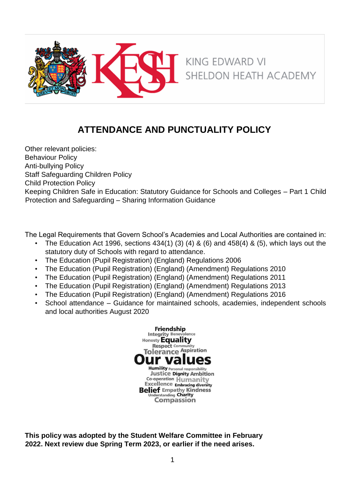

# **ATTENDANCE AND PUNCTUALITY POLICY**

Other relevant policies: Behaviour Policy Anti-bullying Policy Staff Safeguarding Children Policy Child Protection Policy Keeping Children Safe in Education: Statutory Guidance for Schools and Colleges – Part 1 Child Protection and Safeguarding – Sharing Information Guidance

The Legal Requirements that Govern School's Academies and Local Authorities are contained in:

- The Education Act 1996, sections 434(1) (3) (4) & (6) and 458(4) & (5), which lays out the statutory duty of Schools with regard to attendance.
- The Education (Pupil Registration) (England) Regulations 2006
- The Education (Pupil Registration) (England) (Amendment) Regulations 2010
- The Education (Pupil Registration) (England) (Amendment) Regulations 2011
- The Education (Pupil Registration) (England) (Amendment) Regulations 2013
- The Education (Pupil Registration) (England) (Amendment) Regulations 2016
- School attendance Guidance for maintained schools, academies, independent schools and local authorities August 2020



**This policy was adopted by the Student Welfare Committee in February 2022. Next review due Spring Term 2023, or earlier if the need arises.**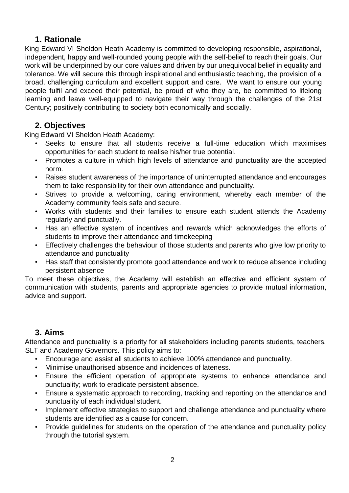## **1. Rationale**

King Edward VI Sheldon Heath Academy is committed to developing responsible, aspirational, independent, happy and well-rounded young people with the self-belief to reach their goals. Our work will be underpinned by our core values and driven by our unequivocal belief in equality and tolerance. We will secure this through inspirational and enthusiastic teaching, the provision of a broad, challenging curriculum and excellent support and care. We want to ensure our young people fulfil and exceed their potential, be proud of who they are, be committed to lifelong learning and leave well-equipped to navigate their way through the challenges of the 21st Century; positively contributing to society both economically and socially.

# **2. Objectives**

King Edward VI Sheldon Heath Academy:

- Seeks to ensure that all students receive a full-time education which maximises opportunities for each student to realise his/her true potential.
- Promotes a culture in which high levels of attendance and punctuality are the accepted norm.
- Raises student awareness of the importance of uninterrupted attendance and encourages them to take responsibility for their own attendance and punctuality.
- Strives to provide a welcoming, caring environment, whereby each member of the Academy community feels safe and secure.
- Works with students and their families to ensure each student attends the Academy regularly and punctually.
- Has an effective system of incentives and rewards which acknowledges the efforts of students to improve their attendance and timekeeping
- Effectively challenges the behaviour of those students and parents who give low priority to attendance and punctuality
- Has staff that consistently promote good attendance and work to reduce absence including persistent absence

To meet these objectives, the Academy will establish an effective and efficient system of communication with students, parents and appropriate agencies to provide mutual information, advice and support.

# **3. Aims**

Attendance and punctuality is a priority for all stakeholders including parents students, teachers, SLT and Academy Governors. This policy aims to:

- Encourage and assist all students to achieve 100% attendance and punctuality.
- Minimise unauthorised absence and incidences of lateness.
- Ensure the efficient operation of appropriate systems to enhance attendance and punctuality; work to eradicate persistent absence.
- Ensure a systematic approach to recording, tracking and reporting on the attendance and punctuality of each individual student.
- Implement effective strategies to support and challenge attendance and punctuality where students are identified as a cause for concern.
- Provide guidelines for students on the operation of the attendance and punctuality policy through the tutorial system.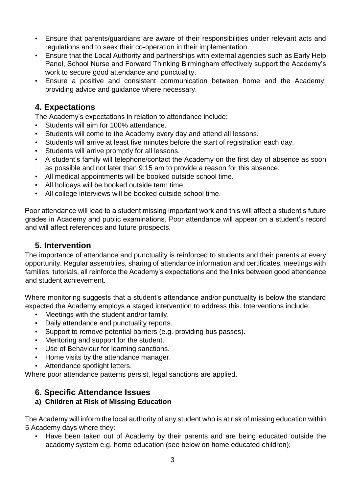- Ensure that parents/guardians are aware of their responsibilities under relevant acts and regulations and to seek their co-operation in their implementation.
- Ensure that the Local Authority and partnerships with external agencies such as Early Help Panel, School Nurse and Forward Thinking Birmingham effectively support the Academy's work to secure good attendance and punctuality.
- Ensure a positive and consistent communication between home and the Academy; providing advice and guidance where necessary.

# **4. Expectations**

The Academy's expectations in relation to attendance include:

- Students will aim for 100% attendance.
- Students will come to the Academy every day and attend all lessons.
- Students will arrive at least five minutes before the start of registration each day.
- Students will arrive promptly for all lessons.
- A student's family will telephone/contact the Academy on the first day of absence as soon as possible and not later than 9:15 am to provide a reason for this absence.
- All medical appointments will be booked outside school time.
- All holidays will be booked outside term time.
- All college interviews will be booked outside school time.

Poor attendance will lead to a student missing important work and this will affect a student's future grades in Academy and public examinations. Poor attendance will appear on a student's record and will affect references and future prospects.

## **5. Intervention**

The importance of attendance and punctuality is reinforced to students and their parents at every opportunity. Regular assemblies, sharing of attendance information and certificates, meetings with families, tutorials, all reinforce the Academy's expectations and the links between good attendance and student achievement.

Where monitoring suggests that a student's attendance and/or punctuality is below the standard expected the Academy employs a staged intervention to address this. Interventions include:

- Meetings with the student and/or family.
- Daily attendance and punctuality reports.
- Support to remove potential barriers (e.g. providing bus passes).
- Mentoring and support for the student.
- Use of Behaviour for learning sanctions.
- Home visits by the attendance manager.
- Attendance spotlight letters.

Where poor attendance patterns persist, legal sanctions are applied.

# **6. Specific Attendance Issues**

### **a) Children at Risk of Missing Education**

The Academy will inform the local authority of any student who is at risk of missing education within 5 Academy days where they:

• Have been taken out of Academy by their parents and are being educated outside the academy system e.g. home education (see below on home educated children);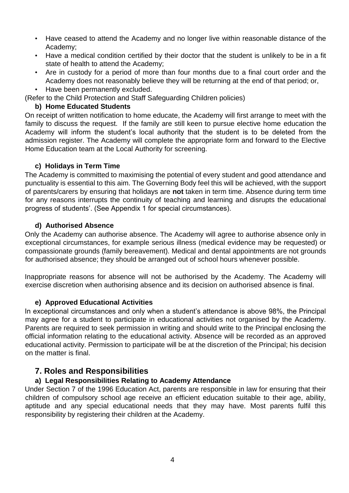- Have ceased to attend the Academy and no longer live within reasonable distance of the Academy;
- Have a medical condition certified by their doctor that the student is unlikely to be in a fit state of health to attend the Academy;
- Are in custody for a period of more than four months due to a final court order and the Academy does not reasonably believe they will be returning at the end of that period; or,
- Have been permanently excluded.

(Refer to the Child Protection and Staff Safeguarding Children policies)

#### **b) Home Educated Students**

On receipt of written notification to home educate, the Academy will first arrange to meet with the family to discuss the request. If the family are still keen to pursue elective home education the Academy will inform the student's local authority that the student is to be deleted from the admission register. The Academy will complete the appropriate form and forward to the Elective Home Education team at the Local Authority for screening.

#### **c) Holidays in Term Time**

The Academy is committed to maximising the potential of every student and good attendance and punctuality is essential to this aim. The Governing Body feel this will be achieved, with the support of parents/carers by ensuring that holidays are **not** taken in term time. Absence during term time for any reasons interrupts the continuity of teaching and learning and disrupts the educational progress of students'. (See Appendix 1 for special circumstances).

#### **d) Authorised Absence**

Only the Academy can authorise absence. The Academy will agree to authorise absence only in exceptional circumstances, for example serious illness (medical evidence may be requested) or compassionate grounds (family bereavement). Medical and dental appointments are not grounds for authorised absence; they should be arranged out of school hours whenever possible.

Inappropriate reasons for absence will not be authorised by the Academy. The Academy will exercise discretion when authorising absence and its decision on authorised absence is final.

### **e) Approved Educational Activities**

In exceptional circumstances and only when a student's attendance is above 98%, the Principal may agree for a student to participate in educational activities not organised by the Academy. Parents are required to seek permission in writing and should write to the Principal enclosing the official information relating to the educational activity. Absence will be recorded as an approved educational activity. Permission to participate will be at the discretion of the Principal; his decision on the matter is final.

## **7. Roles and Responsibilities**

### **a) Legal Responsibilities Relating to Academy Attendance**

Under Section 7 of the 1996 Education Act, parents are responsible in law for ensuring that their children of compulsory school age receive an efficient education suitable to their age, ability, aptitude and any special educational needs that they may have. Most parents fulfil this responsibility by registering their children at the Academy.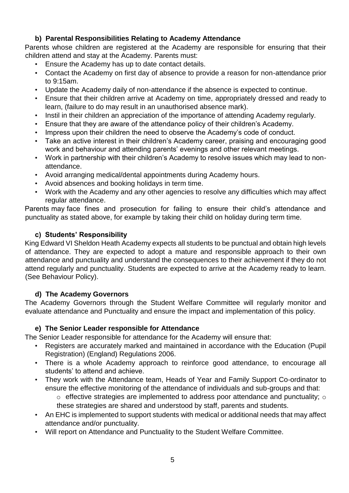## **b) Parental Responsibilities Relating to Academy Attendance**

Parents whose children are registered at the Academy are responsible for ensuring that their children attend and stay at the Academy. Parents must:

- Ensure the Academy has up to date contact details.
- Contact the Academy on first day of absence to provide a reason for non-attendance prior to 9:15am.
- Update the Academy daily of non-attendance if the absence is expected to continue.
- Ensure that their children arrive at Academy on time, appropriately dressed and ready to learn, (failure to do may result in an unauthorised absence mark).
- Instil in their children an appreciation of the importance of attending Academy regularly.
- Ensure that they are aware of the attendance policy of their children's Academy.
- Impress upon their children the need to observe the Academy's code of conduct.
- Take an active interest in their children's Academy career, praising and encouraging good work and behaviour and attending parents' evenings and other relevant meetings.
- Work in partnership with their children's Academy to resolve issues which may lead to nonattendance.
- Avoid arranging medical/dental appointments during Academy hours.
- Avoid absences and booking holidays in term time.
- Work with the Academy and any other agencies to resolve any difficulties which may affect regular attendance.

Parents may face fines and prosecution for failing to ensure their child's attendance and punctuality as stated above, for example by taking their child on holiday during term time.

## **c) Students' Responsibility**

King Edward VI Sheldon Heath Academy expects all students to be punctual and obtain high levels of attendance. They are expected to adopt a mature and responsible approach to their own attendance and punctuality and understand the consequences to their achievement if they do not attend regularly and punctuality. Students are expected to arrive at the Academy ready to learn. (See Behaviour Policy).

## **d) The Academy Governors**

The Academy Governors through the Student Welfare Committee will regularly monitor and evaluate attendance and Punctuality and ensure the impact and implementation of this policy.

## **e) The Senior Leader responsible for Attendance**

The Senior Leader responsible for attendance for the Academy will ensure that:

- Registers are accurately marked and maintained in accordance with the Education (Pupil Registration) (England) Regulations 2006.
- There is a whole Academy approach to reinforce good attendance, to encourage all students' to attend and achieve.
- They work with the Attendance team, Heads of Year and Family Support Co-ordinator to ensure the effective monitoring of the attendance of individuals and sub-groups and that:
	- o effective strategies are implemented to address poor attendance and punctuality; o these strategies are shared and understood by staff, parents and students.
- An EHC is implemented to support students with medical or additional needs that may affect attendance and/or punctuality.
- Will report on Attendance and Punctuality to the Student Welfare Committee.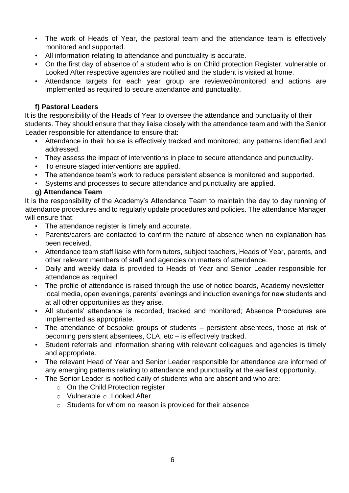- The work of Heads of Year, the pastoral team and the attendance team is effectively monitored and supported.
- All information relating to attendance and punctuality is accurate.
- On the first day of absence of a student who is on Child protection Register, vulnerable or Looked After respective agencies are notified and the student is visited at home.
- Attendance targets for each year group are reviewed/monitored and actions are implemented as required to secure attendance and punctuality.

#### **f) Pastoral Leaders**

It is the responsibility of the Heads of Year to oversee the attendance and punctuality of their students. They should ensure that they liaise closely with the attendance team and with the Senior Leader responsible for attendance to ensure that:

- Attendance in their house is effectively tracked and monitored; any patterns identified and addressed.
- They assess the impact of interventions in place to secure attendance and punctuality.
- To ensure staged interventions are applied.
- The attendance team's work to reduce persistent absence is monitored and supported.
- Systems and processes to secure attendance and punctuality are applied.

#### **g) Attendance Team**

It is the responsibility of the Academy's Attendance Team to maintain the day to day running of attendance procedures and to regularly update procedures and policies. The attendance Manager will ensure that:

- The attendance register is timely and accurate.
- Parents/carers are contacted to confirm the nature of absence when no explanation has been received.
- Attendance team staff liaise with form tutors, subject teachers, Heads of Year, parents, and other relevant members of staff and agencies on matters of attendance.
- Daily and weekly data is provided to Heads of Year and Senior Leader responsible for attendance as required.
- The profile of attendance is raised through the use of notice boards, Academy newsletter, local media, open evenings, parents' evenings and induction evenings for new students and at all other opportunities as they arise.
- All students' attendance is recorded, tracked and monitored; Absence Procedures are implemented as appropriate.
- The attendance of bespoke groups of students persistent absentees, those at risk of becoming persistent absentees, CLA, etc – is effectively tracked.
- Student referrals and information sharing with relevant colleagues and agencies is timely and appropriate.
- The relevant Head of Year and Senior Leader responsible for attendance are informed of any emerging patterns relating to attendance and punctuality at the earliest opportunity.
- The Senior Leader is notified daily of students who are absent and who are:
	- o On the Child Protection register
	- o Vulnerable o Looked After
	- o Students for whom no reason is provided for their absence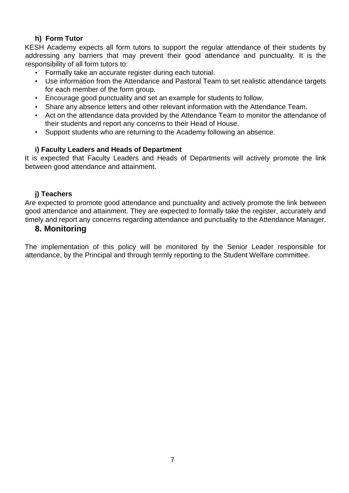## **h) Form Tutor**

KESH Academy expects all form tutors to support the regular attendance of their students by addressing any barriers that may prevent their good attendance and punctuality. It is the responsibility of all form tutors to:

- Formally take an accurate register during each tutorial.
- Use information from the Attendance and Pastoral Team to set realistic attendance targets for each member of the form group.
- Encourage good punctuality and set an example for students to follow.
- Share any absence letters and other relevant information with the Attendance Team.
- Act on the attendance data provided by the Attendance Team to monitor the attendance of their students and report any concerns to their Head of House.
- Support students who are returning to the Academy following an absence.

## **i) Faculty Leaders and Heads of Department**

It is expected that Faculty Leaders and Heads of Departments will actively promote the link between good attendance and attainment.

### **j) Teachers**

Are expected to promote good attendance and punctuality and actively promote the link between good attendance and attainment. They are expected to formally take the register, accurately and timely and report any concerns regarding attendance and punctuality to the Attendance Manager.

# **8. Monitoring**

The implementation of this policy will be monitored by the Senior Leader responsible for attendance, by the Principal and through termly reporting to the Student Welfare committee.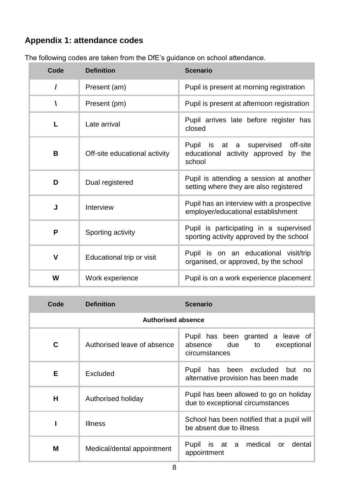# **Appendix 1: attendance codes**

| Code         | <b>Definition</b>             | <b>Scenario</b>                                                                           |
|--------------|-------------------------------|-------------------------------------------------------------------------------------------|
| I            | Present (am)                  | Pupil is present at morning registration                                                  |
|              | Present (pm)                  | Pupil is present at afternoon registration                                                |
| L            | Late arrival                  | Pupil arrives late before register has<br>closed                                          |
| B            | Off-site educational activity | off-site<br>Pupil is at a supervised<br>educational activity approved<br>by the<br>school |
| D            | Dual registered               | Pupil is attending a session at another<br>setting where they are also registered         |
| J            | Interview                     | Pupil has an interview with a prospective<br>employer/educational establishment           |
| P            | Sporting activity             | Pupil is participating in a supervised<br>sporting activity approved by the school        |
| $\mathsf{V}$ | Educational trip or visit     | Pupil is on an educational visit/trip<br>organised, or approved, by the school            |
| W            | Work experience               | Pupil is on a work experience placement                                                   |

The following codes are taken from the DfE's guidance on school attendance.

| Code                      | <b>Definition</b>           | <b>Scenario</b>                                                                        |  |  |
|---------------------------|-----------------------------|----------------------------------------------------------------------------------------|--|--|
| <b>Authorised absence</b> |                             |                                                                                        |  |  |
| C                         | Authorised leave of absence | Pupil has been granted a leave of<br>absence due<br>to<br>exceptional<br>circumstances |  |  |
| Е                         | Excluded                    | Pupil has been excluded but<br>no.<br>alternative provision has been made              |  |  |
| н                         | Authorised holiday          | Pupil has been allowed to go on holiday<br>due to exceptional circumstances            |  |  |
|                           | <b>Illness</b>              | School has been notified that a pupil will<br>be absent due to illness                 |  |  |
| м                         | Medical/dental appointment  | medical<br>dental<br>Pupil is at a<br>or<br>appointment                                |  |  |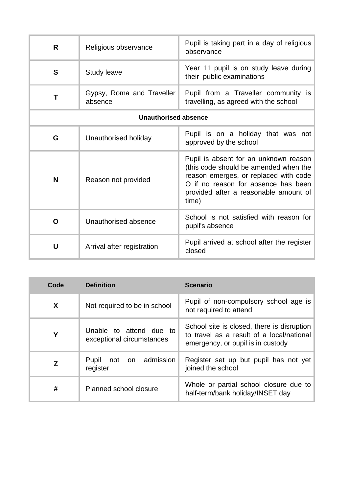| R                           | Religious observance                 | Pupil is taking part in a day of religious<br>observance                                                                                                                                                         |  |  |
|-----------------------------|--------------------------------------|------------------------------------------------------------------------------------------------------------------------------------------------------------------------------------------------------------------|--|--|
| S                           | Study leave                          | Year 11 pupil is on study leave during<br>their public examinations                                                                                                                                              |  |  |
| Т                           | Gypsy, Roma and Traveller<br>absence | Pupil from a Traveller community is<br>travelling, as agreed with the school                                                                                                                                     |  |  |
| <b>Unauthorised absence</b> |                                      |                                                                                                                                                                                                                  |  |  |
| G                           | Unauthorised holiday                 | Pupil is on a holiday that was not<br>approved by the school                                                                                                                                                     |  |  |
| N                           | Reason not provided                  | Pupil is absent for an unknown reason<br>(this code should be amended when the<br>reason emerges, or replaced with code<br>O if no reason for absence has been<br>provided after a reasonable amount of<br>time) |  |  |
| O                           | Unauthorised absence                 | School is not satisfied with reason for<br>pupil's absence                                                                                                                                                       |  |  |
| U                           | Arrival after registration           | Pupil arrived at school after the register<br>closed                                                                                                                                                             |  |  |

| Code | <b>Definition</b>                                    | <b>Scenario</b>                                                                                                              |
|------|------------------------------------------------------|------------------------------------------------------------------------------------------------------------------------------|
| X    | Not required to be in school                         | Pupil of non-compulsory school age is<br>not required to attend                                                              |
| Υ    | Unable to attend due to<br>exceptional circumstances | School site is closed, there is disruption<br>to travel as a result of a local/national<br>emergency, or pupil is in custody |
| z    | admission<br>Pupil<br>not<br>on<br>register          | Register set up but pupil has not yet<br>joined the school                                                                   |
| #    | Planned school closure                               | Whole or partial school closure due to<br>half-term/bank holiday/INSET day                                                   |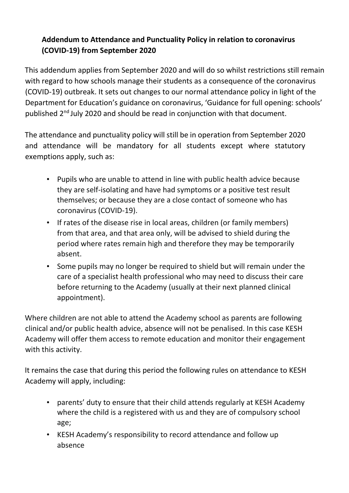# **Addendum to Attendance and Punctuality Policy in relation to coronavirus (COVID-19) from September 2020**

This addendum applies from September 2020 and will do so whilst restrictions still remain with regard to how schools manage their students as a consequence of the coronavirus (COVID-19) outbreak. It sets out changes to our normal attendance policy in light of the Department for Education's guidance on coronavirus, 'Guidance for full opening: schools' published 2nd July 2020 and should be read in conjunction with that document.

The attendance and punctuality policy will still be in operation from September 2020 and attendance will be mandatory for all students except where statutory exemptions apply, such as:

- Pupils who are unable to attend in line with public health advice because they are self-isolating and have had symptoms or a positive test result themselves; or because they are a close contact of someone who has coronavirus (COVID-19).
- If rates of the disease rise in local areas, children (or family members) from that area, and that area only, will be advised to shield during the period where rates remain high and therefore they may be temporarily absent.
- Some pupils may no longer be required to shield but will remain under the care of a specialist health professional who may need to discuss their care before returning to the Academy (usually at their next planned clinical appointment).

Where children are not able to attend the Academy school as parents are following clinical and/or public health advice, absence will not be penalised. In this case KESH Academy will offer them access to remote education and monitor their engagement with this activity.

It remains the case that during this period the following rules on attendance to KESH Academy will apply, including:

- parents' duty to ensure that their child attends regularly at KESH Academy where the child is a registered with us and they are of compulsory school age;
- KESH Academy's responsibility to record attendance and follow up absence